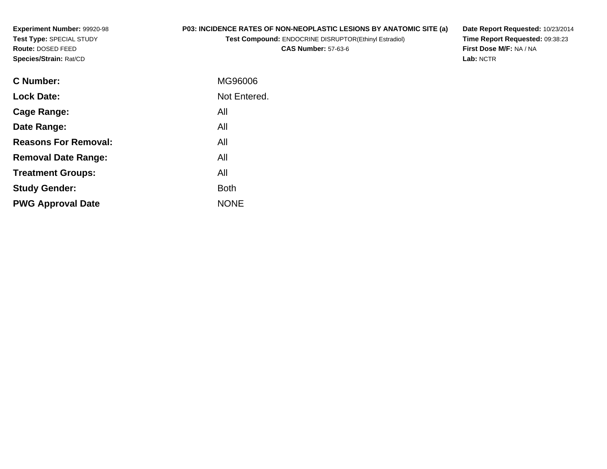**Experiment Number:** 99920-98**Test Type:** SPECIAL STUDY**Route:** DOSED FEED**Species/Strain:** Rat/CD

# **P03: INCIDENCE RATES OF NON-NEOPLASTIC LESIONS BY ANATOMIC SITE (a)**

**Test Compound:** ENDOCRINE DISRUPTOR(Ethinyl Estradiol)

**CAS Number:** 57-63-6

**Date Report Requested:** 10/23/2014 **Time Report Requested:** 09:38:23**First Dose M/F:** NA / NA**Lab:** NCTR

| MG96006      |
|--------------|
| Not Entered. |
| All          |
| All          |
| All          |
| All          |
| All          |
| <b>Both</b>  |
| <b>NONE</b>  |
|              |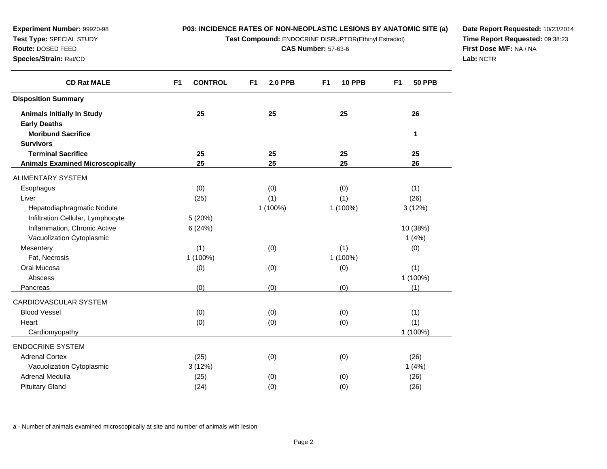**Test Compound:** ENDOCRINE DISRUPTOR(Ethinyl Estradiol)

**CAS Number:** 57-63-6

**Date Report Requested:** 10/23/2014**Time Report Requested:** 09:38:23**First Dose M/F:** NA / NA**Lab:** NCTR

| <b>CD Rat MALE</b>                                       | <b>CONTROL</b><br>F <sub>1</sub> | F <sub>1</sub><br><b>2.0 PPB</b> | <b>10 PPB</b><br>F <sub>1</sub> | F <sub>1</sub><br><b>50 PPB</b> |
|----------------------------------------------------------|----------------------------------|----------------------------------|---------------------------------|---------------------------------|
| <b>Disposition Summary</b>                               |                                  |                                  |                                 |                                 |
| <b>Animals Initially In Study</b><br><b>Early Deaths</b> | 25                               | 25                               | 25                              | 26                              |
| <b>Moribund Sacrifice</b>                                |                                  |                                  |                                 | 1                               |
| <b>Survivors</b>                                         |                                  |                                  |                                 |                                 |
| <b>Terminal Sacrifice</b>                                | 25                               | 25                               | 25                              | 25                              |
| <b>Animals Examined Microscopically</b>                  | 25                               | 25                               | 25                              | 26                              |
| ALIMENTARY SYSTEM                                        |                                  |                                  |                                 |                                 |
| Esophagus                                                | (0)                              | (0)                              | (0)                             | (1)                             |
| Liver                                                    | (25)                             | (1)                              | (1)                             | (26)                            |
| Hepatodiaphragmatic Nodule                               |                                  | 1 (100%)                         | 1 (100%)                        | 3(12%)                          |
| Infiltration Cellular, Lymphocyte                        | 5 (20%)                          |                                  |                                 |                                 |
| Inflammation, Chronic Active                             | 6(24%)                           |                                  |                                 | 10 (38%)                        |
| Vacuolization Cytoplasmic                                |                                  |                                  |                                 | 1(4%)                           |
| Mesentery                                                | (1)                              | (0)                              | (1)                             | (0)                             |
| Fat, Necrosis                                            | 1 (100%)                         |                                  | 1 (100%)                        |                                 |
| Oral Mucosa                                              | (0)                              | (0)                              | (0)                             | (1)                             |
| Abscess                                                  |                                  |                                  |                                 | 1 (100%)                        |
| Pancreas                                                 | (0)                              | (0)                              | (0)                             | (1)                             |
| CARDIOVASCULAR SYSTEM                                    |                                  |                                  |                                 |                                 |
| <b>Blood Vessel</b>                                      | (0)                              | (0)                              | (0)                             | (1)                             |
| Heart                                                    | (0)                              | (0)                              | (0)                             | (1)                             |
| Cardiomyopathy                                           |                                  |                                  |                                 | 1 (100%)                        |
| <b>ENDOCRINE SYSTEM</b>                                  |                                  |                                  |                                 |                                 |
| <b>Adrenal Cortex</b>                                    | (25)                             | (0)                              | (0)                             | (26)                            |
| Vacuolization Cytoplasmic                                | 3(12%)                           |                                  |                                 | 1(4%)                           |
| Adrenal Medulla                                          | (25)                             | (0)                              | (0)                             | (26)                            |
| <b>Pituitary Gland</b>                                   | (24)                             | (0)                              | (0)                             | (26)                            |

a - Number of animals examined microscopically at site and number of animals with lesion

**Experiment Number:** 99920-98**Test Type:** SPECIAL STUDY**Route:** DOSED FEED**Species/Strain:** Rat/CD

 $\overline{\phantom{a}}$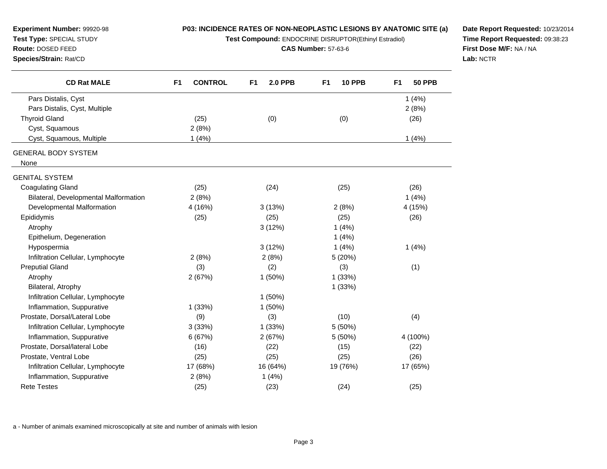| Experiment Number: 99920-98<br>Test Type: SPECIAL STUDY<br>Route: DOSED FEED<br>Species/Strain: Rat/CD | P03: INCIDENCE RATES OF NON-NEOPLASTIC LESIONS BY ANATOMIC SITE (a)<br>Test Compound: ENDOCRINE DISRUPTOR(Ethinyl Estradiol)<br><b>CAS Number: 57-63-6</b> |                                  |                                 | Date Report Requested: 10/23/2014<br>Time Report Requested: 09:38:23<br>First Dose M/F: NA / NA<br>Lab: NCTR |  |
|--------------------------------------------------------------------------------------------------------|------------------------------------------------------------------------------------------------------------------------------------------------------------|----------------------------------|---------------------------------|--------------------------------------------------------------------------------------------------------------|--|
| <b>CD Rat MALE</b>                                                                                     | <b>CONTROL</b><br>F <sub>1</sub>                                                                                                                           | <b>2.0 PPB</b><br>F <sub>1</sub> | <b>10 PPB</b><br>F <sub>1</sub> | <b>50 PPB</b><br>F <sub>1</sub>                                                                              |  |
| Pars Distalis, Cyst                                                                                    |                                                                                                                                                            |                                  |                                 | 1(4%)                                                                                                        |  |
| Pars Distalis, Cyst, Multiple                                                                          |                                                                                                                                                            |                                  |                                 | 2(8%)                                                                                                        |  |
| <b>Thyroid Gland</b>                                                                                   | (25)                                                                                                                                                       | (0)                              | (0)                             | (26)                                                                                                         |  |
| Cyst, Squamous                                                                                         | 2(8%)                                                                                                                                                      |                                  |                                 |                                                                                                              |  |
| Cyst, Squamous, Multiple                                                                               | 1(4%)                                                                                                                                                      |                                  |                                 | 1(4%)                                                                                                        |  |
| <b>GENERAL BODY SYSTEM</b><br>None                                                                     |                                                                                                                                                            |                                  |                                 |                                                                                                              |  |
| <b>GENITAL SYSTEM</b>                                                                                  |                                                                                                                                                            |                                  |                                 |                                                                                                              |  |
| <b>Coagulating Gland</b>                                                                               | (25)                                                                                                                                                       | (24)                             | (25)                            | (26)                                                                                                         |  |
| Bilateral, Developmental Malformation                                                                  | 2(8%)                                                                                                                                                      |                                  |                                 | 1(4%)                                                                                                        |  |
| Developmental Malformation                                                                             | 4 (16%)                                                                                                                                                    | 3(13%)                           | 2(8%)                           | 4 (15%)                                                                                                      |  |
| Epididymis                                                                                             | (25)                                                                                                                                                       | (25)                             | (25)                            | (26)                                                                                                         |  |
| Atrophy                                                                                                |                                                                                                                                                            | 3(12%)                           | 1(4%)                           |                                                                                                              |  |
| Epithelium, Degeneration                                                                               |                                                                                                                                                            |                                  | 1(4%)                           |                                                                                                              |  |
| Hypospermia                                                                                            |                                                                                                                                                            | 3(12%)                           | 1(4%)                           | 1(4%)                                                                                                        |  |
| Infiltration Cellular, Lymphocyte                                                                      | 2(8%)                                                                                                                                                      | 2(8%)                            | 5 (20%)                         |                                                                                                              |  |
| <b>Preputial Gland</b>                                                                                 | (3)                                                                                                                                                        | (2)                              | (3)                             | (1)                                                                                                          |  |
| Atrophy                                                                                                | 2(67%)                                                                                                                                                     | 1(50%)                           | 1(33%)                          |                                                                                                              |  |
| Bilateral, Atrophy                                                                                     |                                                                                                                                                            |                                  | 1(33%)                          |                                                                                                              |  |
| Infiltration Cellular, Lymphocyte                                                                      |                                                                                                                                                            | $1(50\%)$                        |                                 |                                                                                                              |  |
| Inflammation, Suppurative                                                                              | 1(33%)                                                                                                                                                     | 1(50%)                           |                                 |                                                                                                              |  |
| Prostate, Dorsal/Lateral Lobe                                                                          | (9)                                                                                                                                                        | (3)                              | (10)                            | (4)                                                                                                          |  |
| Infiltration Cellular, Lymphocyte                                                                      | 3(33%)                                                                                                                                                     | 1(33%)                           | 5(50%)                          |                                                                                                              |  |
| Inflammation, Suppurative                                                                              | 6(67%)                                                                                                                                                     | 2(67%)                           | 5(50%)                          | 4 (100%)                                                                                                     |  |
| Prostate, Dorsal/lateral Lobe                                                                          | (16)                                                                                                                                                       | (22)                             | (15)                            | (22)                                                                                                         |  |
| Prostate, Ventral Lobe                                                                                 | (25)                                                                                                                                                       | (25)                             | (25)                            | (26)                                                                                                         |  |
| Infiltration Cellular, Lymphocyte                                                                      | 17 (68%)                                                                                                                                                   | 16 (64%)                         | 19 (76%)                        | 17 (65%)                                                                                                     |  |
| Inflammation, Suppurative                                                                              | 2(8%)                                                                                                                                                      | 1(4%)                            |                                 |                                                                                                              |  |
| <b>Rete Testes</b>                                                                                     | (25)                                                                                                                                                       | (23)                             | (24)                            | (25)                                                                                                         |  |

a - Number of animals examined microscopically at site and number of animals with lesion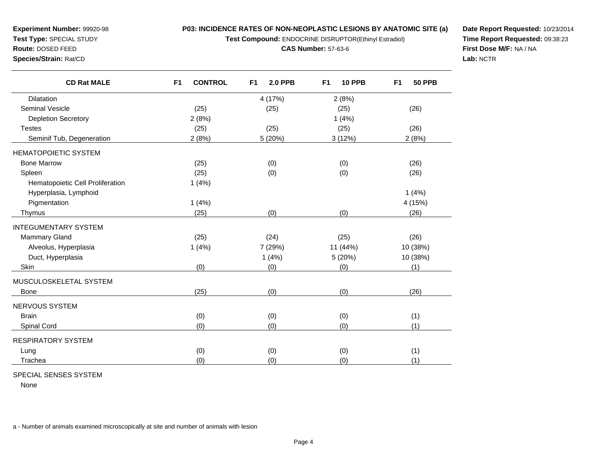**Test Compound:** ENDOCRINE DISRUPTOR(Ethinyl Estradiol)

**CAS Number:** 57-63-6

**Date Report Requested:** 10/23/2014**Time Report Requested:** 09:38:23**First Dose M/F:** NA / NA**Lab:** NCTR

| <b>CD Rat MALE</b>               | <b>CONTROL</b><br>F <sub>1</sub> | F <sub>1</sub><br><b>2.0 PPB</b> | F <sub>1</sub><br><b>10 PPB</b> | F <sub>1</sub><br><b>50 PPB</b> |
|----------------------------------|----------------------------------|----------------------------------|---------------------------------|---------------------------------|
| Dilatation                       |                                  | 4 (17%)                          | 2(8%)                           |                                 |
| <b>Seminal Vesicle</b>           | (25)                             | (25)                             | (25)                            | (26)                            |
| Depletion Secretory              | 2(8%)                            |                                  | 1(4%)                           |                                 |
| <b>Testes</b>                    | (25)                             | (25)                             | (25)                            | (26)                            |
| Seminif Tub, Degeneration        | 2(8%)                            | 5 (20%)                          | 3(12%)                          | 2(8%)                           |
| <b>HEMATOPOIETIC SYSTEM</b>      |                                  |                                  |                                 |                                 |
| <b>Bone Marrow</b>               | (25)                             | (0)                              | (0)                             | (26)                            |
| Spleen                           | (25)                             | (0)                              | (0)                             | (26)                            |
| Hematopoietic Cell Proliferation | 1(4%)                            |                                  |                                 |                                 |
| Hyperplasia, Lymphoid            |                                  |                                  |                                 | 1(4%)                           |
| Pigmentation                     | 1(4%)                            |                                  |                                 | 4 (15%)                         |
| Thymus                           | (25)                             | (0)                              | (0)                             | (26)                            |
| <b>INTEGUMENTARY SYSTEM</b>      |                                  |                                  |                                 |                                 |
| <b>Mammary Gland</b>             | (25)                             | (24)                             | (25)                            | (26)                            |
| Alveolus, Hyperplasia            | 1(4%)                            | 7 (29%)                          | 11 (44%)                        | 10 (38%)                        |
| Duct, Hyperplasia                |                                  | 1(4%)                            | 5 (20%)                         | 10 (38%)                        |
| Skin                             | (0)                              | (0)                              | (0)                             | (1)                             |
| MUSCULOSKELETAL SYSTEM           |                                  |                                  |                                 |                                 |
| <b>Bone</b>                      | (25)                             | (0)                              | (0)                             | (26)                            |
| NERVOUS SYSTEM                   |                                  |                                  |                                 |                                 |
| <b>Brain</b>                     | (0)                              | (0)                              | (0)                             | (1)                             |
| Spinal Cord                      | (0)                              | (0)                              | (0)                             | (1)                             |
| <b>RESPIRATORY SYSTEM</b>        |                                  |                                  |                                 |                                 |
| Lung                             | (0)                              | (0)                              | (0)                             | (1)                             |
| Trachea                          | (0)                              | (0)                              | (0)                             | (1)                             |

# SPECIAL SENSES SYSTEM

**Experiment Number:** 99920-98**Test Type:** SPECIAL STUDY**Route:** DOSED FEED**Species/Strain:** Rat/CD

None

a - Number of animals examined microscopically at site and number of animals with lesion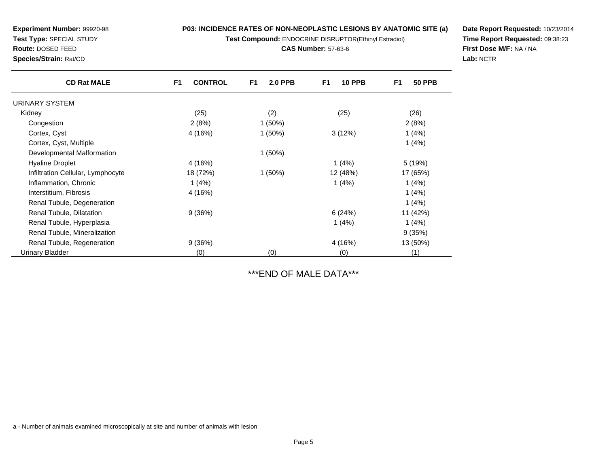**Test Compound:** ENDOCRINE DISRUPTOR(Ethinyl Estradiol)

**CAS Number:** 57-63-6

**Date Report Requested:** 10/23/2014**Time Report Requested:** 09:38:23**First Dose M/F:** NA / NA**Lab:** NCTR

| <b>CD Rat MALE</b>                | F <sub>1</sub><br><b>CONTROL</b> | F <sub>1</sub><br><b>2.0 PPB</b> | <b>10 PPB</b><br>F <sub>1</sub> | F <sub>1</sub><br><b>50 PPB</b> |
|-----------------------------------|----------------------------------|----------------------------------|---------------------------------|---------------------------------|
| URINARY SYSTEM                    |                                  |                                  |                                 |                                 |
| Kidney                            | (25)                             | (2)                              | (25)                            | (26)                            |
| Congestion                        | 2(8%)                            | $1(50\%)$                        |                                 | 2(8%)                           |
| Cortex, Cyst                      | 4 (16%)                          | $1(50\%)$                        | 3(12%)                          | 1(4%)                           |
| Cortex, Cyst, Multiple            |                                  |                                  |                                 | 1(4%)                           |
| Developmental Malformation        |                                  | $1(50\%)$                        |                                 |                                 |
| <b>Hyaline Droplet</b>            | 4 (16%)                          |                                  | 1(4%)                           | 5 (19%)                         |
| Infiltration Cellular, Lymphocyte | 18 (72%)                         | $1(50\%)$                        | 12 (48%)                        | 17 (65%)                        |
| Inflammation, Chronic             | 1(4%)                            |                                  | 1(4%)                           | 1(4%)                           |
| Interstitium, Fibrosis            | 4 (16%)                          |                                  |                                 | 1(4%)                           |
| Renal Tubule, Degeneration        |                                  |                                  |                                 | 1(4%)                           |
| Renal Tubule, Dilatation          | 9(36%)                           |                                  | 6(24%)                          | 11 (42%)                        |
| Renal Tubule, Hyperplasia         |                                  |                                  | 1(4%)                           | 1(4%)                           |
| Renal Tubule, Mineralization      |                                  |                                  |                                 | 9(35%)                          |
| Renal Tubule, Regeneration        | 9(36%)                           |                                  | 4 (16%)                         | 13 (50%)                        |
| <b>Urinary Bladder</b>            | (0)                              | (0)                              | (0)                             | (1)                             |

\*\*\*END OF MALE DATA\*\*\*

a - Number of animals examined microscopically at site and number of animals with lesion

**Route:** DOSED FEED

**Species/Strain:** Rat/CD

**Experiment Number:** 99920-98**Test Type:** SPECIAL STUDY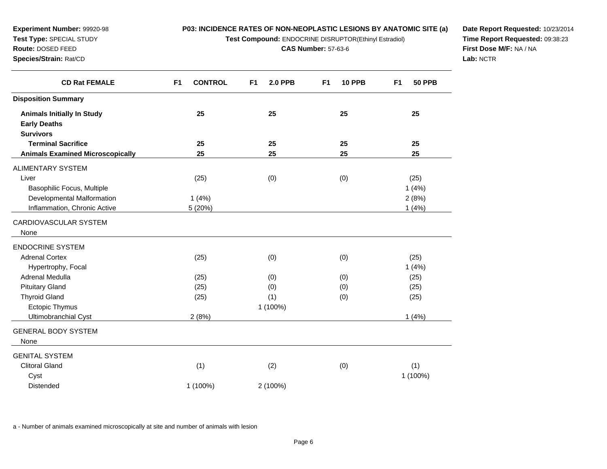**Test Compound:** ENDOCRINE DISRUPTOR(Ethinyl Estradiol)

**CAS Number:** 57-63-6

**Date Report Requested:** 10/23/2014**Time Report Requested:** 09:38:23**First Dose M/F:** NA / NA**Lab:** NCTR

| <b>CD Rat FEMALE</b>                    | <b>CONTROL</b><br>F <sub>1</sub> | <b>2.0 PPB</b><br>F <sub>1</sub> | <b>10 PPB</b><br>F <sub>1</sub> | <b>50 PPB</b><br>F <sub>1</sub> |
|-----------------------------------------|----------------------------------|----------------------------------|---------------------------------|---------------------------------|
| <b>Disposition Summary</b>              |                                  |                                  |                                 |                                 |
| <b>Animals Initially In Study</b>       | 25                               | 25                               | 25                              | 25                              |
| <b>Early Deaths</b>                     |                                  |                                  |                                 |                                 |
| <b>Survivors</b>                        |                                  |                                  |                                 |                                 |
| <b>Terminal Sacrifice</b>               | 25                               | 25                               | 25                              | 25                              |
| <b>Animals Examined Microscopically</b> | 25                               | 25                               | 25                              | 25                              |
| <b>ALIMENTARY SYSTEM</b>                |                                  |                                  |                                 |                                 |
| Liver                                   | (25)                             | (0)                              | (0)                             | (25)                            |
| Basophilic Focus, Multiple              |                                  |                                  |                                 | 1(4%)                           |
| Developmental Malformation              | 1(4%)                            |                                  |                                 | 2(8%)                           |
| Inflammation, Chronic Active            | 5 (20%)                          |                                  |                                 | 1(4%)                           |
| CARDIOVASCULAR SYSTEM                   |                                  |                                  |                                 |                                 |
| None                                    |                                  |                                  |                                 |                                 |
| <b>ENDOCRINE SYSTEM</b>                 |                                  |                                  |                                 |                                 |
| <b>Adrenal Cortex</b>                   | (25)                             | (0)                              | (0)                             | (25)                            |
| Hypertrophy, Focal                      |                                  |                                  |                                 | 1(4%)                           |
| Adrenal Medulla                         | (25)                             | (0)                              | (0)                             | (25)                            |
| <b>Pituitary Gland</b>                  | (25)                             | (0)                              | (0)                             | (25)                            |
| <b>Thyroid Gland</b>                    | (25)                             | (1)                              | (0)                             | (25)                            |
| Ectopic Thymus                          |                                  | 1 (100%)                         |                                 |                                 |
| Ultimobranchial Cyst                    | 2(8%)                            |                                  |                                 | 1(4%)                           |
| <b>GENERAL BODY SYSTEM</b>              |                                  |                                  |                                 |                                 |
| None                                    |                                  |                                  |                                 |                                 |
| <b>GENITAL SYSTEM</b>                   |                                  |                                  |                                 |                                 |
| <b>Clitoral Gland</b>                   | (1)                              | (2)                              | (0)                             | (1)                             |
| Cyst                                    |                                  |                                  |                                 | 1 (100%)                        |
| <b>Distended</b>                        | 1 (100%)                         | 2 (100%)                         |                                 |                                 |

a - Number of animals examined microscopically at site and number of animals with lesion

**Experiment Number:** 99920-98**Test Type:** SPECIAL STUDY**Route:** DOSED FEED**Species/Strain:** Rat/CD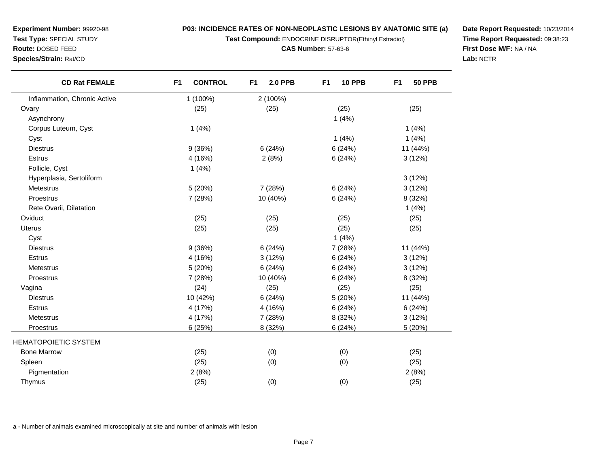**Test Compound:** ENDOCRINE DISRUPTOR(Ethinyl Estradiol)

**CAS Number:** 57-63-6

**Date Report Requested:** 10/23/2014**Time Report Requested:** 09:38:23**First Dose M/F:** NA / NA**Lab:** NCTR

| <b>CD Rat FEMALE</b>         | <b>CONTROL</b><br>F <sub>1</sub> | <b>2.0 PPB</b><br>F <sub>1</sub> | <b>10 PPB</b><br>F <sub>1</sub> | <b>50 PPB</b><br>F <sub>1</sub> |
|------------------------------|----------------------------------|----------------------------------|---------------------------------|---------------------------------|
| Inflammation, Chronic Active | 1 (100%)                         | 2 (100%)                         |                                 |                                 |
| Ovary                        | (25)                             | (25)                             | (25)                            | (25)                            |
| Asynchrony                   |                                  |                                  | 1(4%)                           |                                 |
| Corpus Luteum, Cyst          | 1(4%)                            |                                  |                                 | 1(4%)                           |
| Cyst                         |                                  |                                  | 1(4%)                           | 1(4%)                           |
| <b>Diestrus</b>              | 9(36%)                           | 6(24%)                           | 6(24%)                          | 11 (44%)                        |
| Estrus                       | 4 (16%)                          | 2(8%)                            | 6(24%)                          | 3(12%)                          |
| Follicle, Cyst               | 1(4%)                            |                                  |                                 |                                 |
| Hyperplasia, Sertoliform     |                                  |                                  |                                 | 3(12%)                          |
| Metestrus                    | 5(20%)                           | 7 (28%)                          | 6(24%)                          | 3(12%)                          |
| Proestrus                    | 7 (28%)                          | 10 (40%)                         | 6(24%)                          | 8 (32%)                         |
| Rete Ovarii, Dilatation      |                                  |                                  |                                 | 1(4%)                           |
| Oviduct                      | (25)                             | (25)                             | (25)                            | (25)                            |
| Uterus                       | (25)                             | (25)                             | (25)                            | (25)                            |
| Cyst                         |                                  |                                  | 1(4%)                           |                                 |
| <b>Diestrus</b>              | 9(36%)                           | 6(24%)                           | 7 (28%)                         | 11 (44%)                        |
| <b>Estrus</b>                | 4 (16%)                          | 3(12%)                           | 6(24%)                          | 3(12%)                          |
| Metestrus                    | 5(20%)                           | 6(24%)                           | 6(24%)                          | 3(12%)                          |
| Proestrus                    | 7 (28%)                          | 10 (40%)                         | 6(24%)                          | 8 (32%)                         |
| Vagina                       | (24)                             | (25)                             | (25)                            | (25)                            |
| <b>Diestrus</b>              | 10 (42%)                         | 6(24%)                           | 5 (20%)                         | 11 (44%)                        |
| <b>Estrus</b>                | 4 (17%)                          | 4 (16%)                          | 6(24%)                          | 6(24%)                          |
| Metestrus                    | 4 (17%)                          | 7 (28%)                          | 8 (32%)                         | 3(12%)                          |
| <b>Proestrus</b>             | 6(25%)                           | 8 (32%)                          | 6(24%)                          | 5 (20%)                         |
| <b>HEMATOPOIETIC SYSTEM</b>  |                                  |                                  |                                 |                                 |
| <b>Bone Marrow</b>           | (25)                             | (0)                              | (0)                             | (25)                            |
| Spleen                       | (25)                             | (0)                              | (0)                             | (25)                            |
| Pigmentation                 | 2(8%)                            |                                  |                                 | 2(8%)                           |
| Thymus                       | (25)                             | (0)                              | (0)                             | (25)                            |

a - Number of animals examined microscopically at site and number of animals with lesion

**Experiment Number:** 99920-98**Test Type:** SPECIAL STUDY**Route:** DOSED FEED**Species/Strain:** Rat/CD